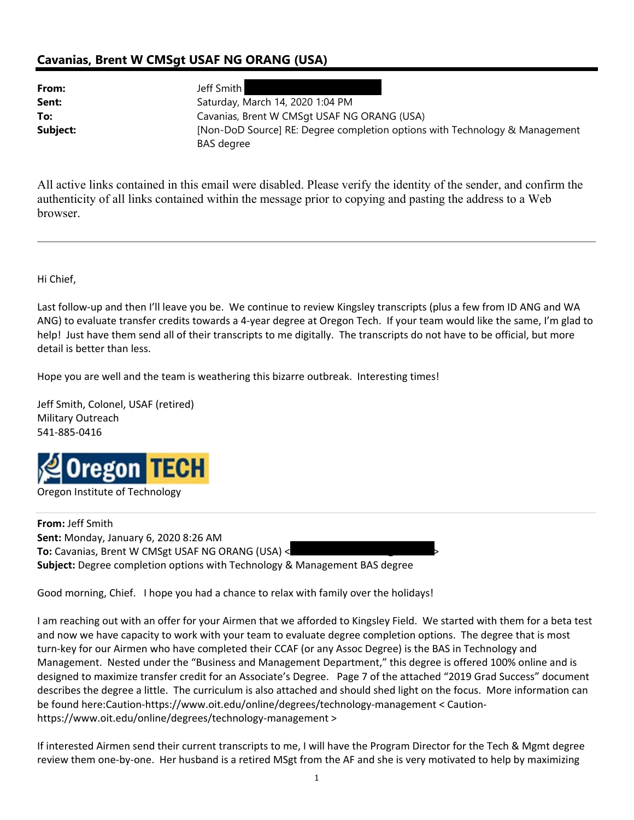## **Cavanias, Brent W CMSgt USAF NG ORANG (USA)**

**From:** Jeff Smith

**Sent:** Saturday, March 14, 2020 1:04 PM **To:** Cavanias, Brent W CMSqt USAF NG ORANG (USA) **Subject:** [Non-DoD Source] RE: Degree completion options with Technology & Management BAS degree

All active links contained in this email were disabled. Please verify the identity of the sender, and confirm the authenticity of all links contained within the message prior to copying and pasting the address to a Web browser.

Hi Chief,

Last follow‐up and then I'll leave you be. We continue to review Kingsley transcripts (plus a few from ID ANG and WA ANG) to evaluate transfer credits towards a 4‐year degree at Oregon Tech. If your team would like the same, I'm glad to help! Just have them send all of their transcripts to me digitally. The transcripts do not have to be official, but more detail is better than less.

Hope you are well and the team is weathering this bizarre outbreak. Interesting times!

Jeff Smith, Colonel, USAF (retired) Military Outreach 541‐885‐0416



**From:** Jeff Smith **Sent:** Monday, January 6, 2020 8:26 AM **To:** Cavanias, Brent W CMSgt USAF NG ORANG (USA) < **Subject:** Degree completion options with Technology & Management BAS degree

Good morning, Chief. I hope you had a chance to relax with family over the holidays!

I am reaching out with an offer for your Airmen that we afforded to Kingsley Field. We started with them for a beta test and now we have capacity to work with your team to evaluate degree completion options. The degree that is most turn-key for our Airmen who have completed their CCAF (or any Assoc Degree) is the BAS in Technology and Management. Nested under the "Business and Management Department," this degree is offered 100% online and is designed to maximize transfer credit for an Associate's Degree. Page 7 of the attached "2019 Grad Success" document describes the degree a little. The curriculum is also attached and should shed light on the focus. More information can be found here:Caution‐https://www.oit.edu/online/degrees/technology‐management < Caution‐ https://www.oit.edu/online/degrees/technology‐management >

If interested Airmen send their current transcripts to me, I will have the Program Director for the Tech & Mgmt degree review them one‐by‐one. Her husband is a retired MSgt from the AF and she is very motivated to help by maximizing